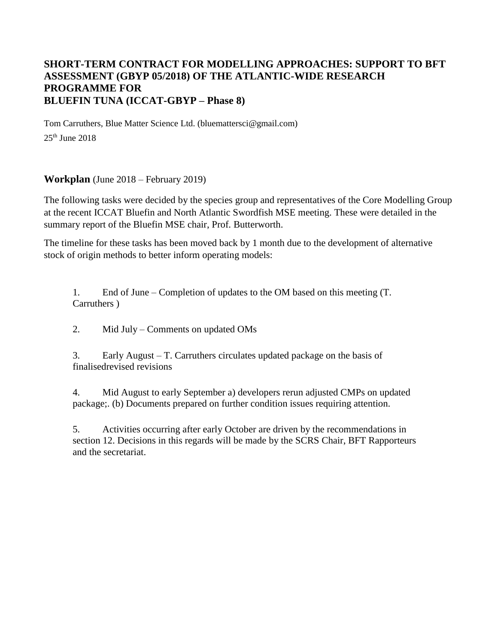## **SHORT-TERM CONTRACT FOR MODELLING APPROACHES: SUPPORT TO BFT ASSESSMENT (GBYP 05/2018) OF THE ATLANTIC-WIDE RESEARCH PROGRAMME FOR BLUEFIN TUNA (ICCAT-GBYP – Phase 8)**

Tom Carruthers, Blue Matter Science Ltd. (bluemattersci@gmail.com)  $25<sup>th</sup>$  June  $2018$ 

**Workplan** (June 2018 – February 2019)

The following tasks were decided by the species group and representatives of the Core Modelling Group at the recent ICCAT Bluefin and North Atlantic Swordfish MSE meeting. These were detailed in the summary report of the Bluefin MSE chair, Prof. Butterworth.

The timeline for these tasks has been moved back by 1 month due to the development of alternative stock of origin methods to better inform operating models:

1. End of June – Completion of updates to the OM based on this meeting (T. Carruthers )

2. Mid July – Comments on updated OMs

3. Early August – T. Carruthers circulates updated package on the basis of finalisedrevised revisions

4. Mid August to early September a) developers rerun adjusted CMPs on updated package;. (b) Documents prepared on further condition issues requiring attention.

5. Activities occurring after early October are driven by the recommendations in section 12. Decisions in this regards will be made by the SCRS Chair, BFT Rapporteurs and the secretariat.